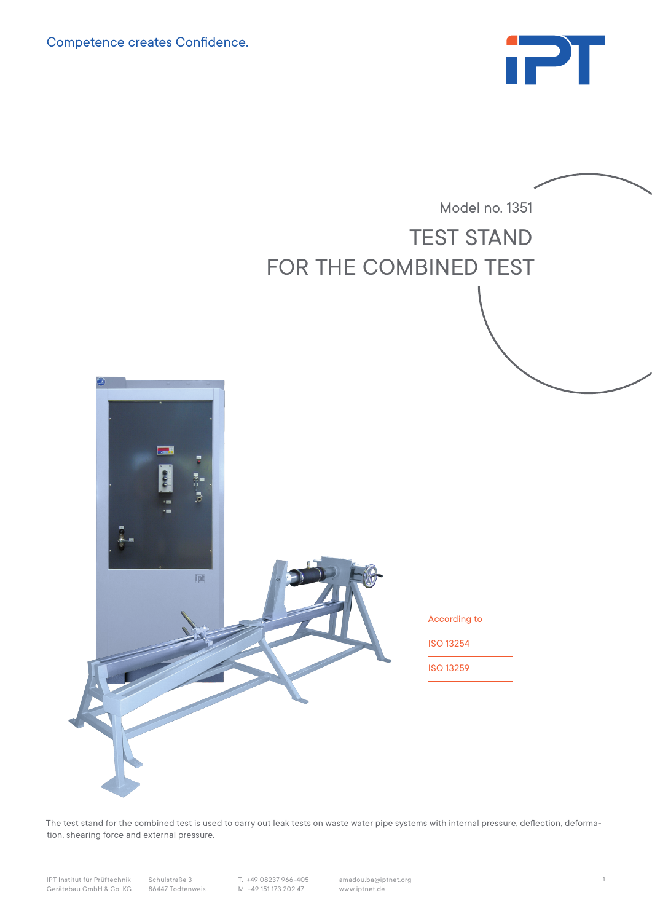Competence creates Confidence.





The test stand for the combined test is used to carry out leak tests on waste water pipe systems with internal pressure, deflection, deformation, shearing force and external pressure.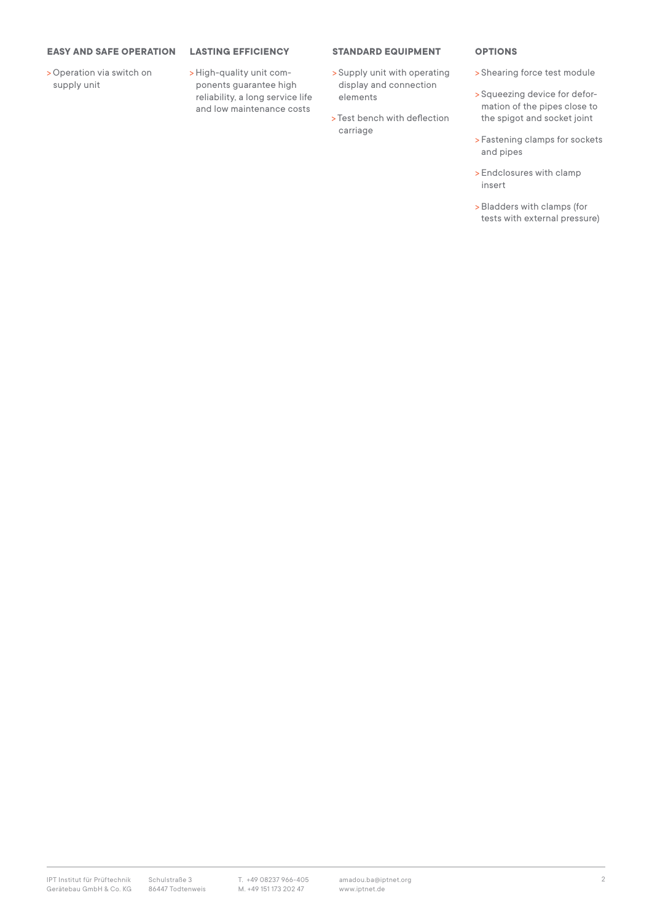## **EASY AND SAFE OPERATION**

>Operation via switch on supply unit

**LASTING EFFICIENCY** 

>High-quality unit components guarantee high reliability, a long service life and low maintenance costs

## **STANDARD EQUIPMENT**

- > Supply unit with operating display and connection elements
- > Test bench with deflection carriage

## **OPTIONS**

- > Shearing force test module
- > Squeezing device for deformation of the pipes close to the spigot and socket joint
- > Fastening clamps for sockets and pipes
- > Endclosures with clamp insert
- > Bladders with clamps (for tests with external pressure)